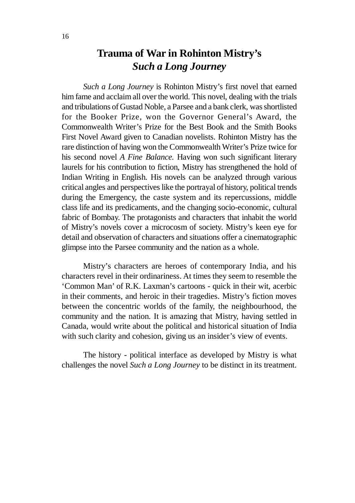## **Trauma of War in Rohinton Mistry's** *Such a Long Journey*

*Such a Long Journey* is Rohinton Mistry's first novel that earned him fame and acclaim all over the world. This novel, dealing with the trials and tribulations of Gustad Noble, a Parsee and a bank clerk, was shortlisted for the Booker Prize, won the Governor General's Award, the Commonwealth Writer's Prize for the Best Book and the Smith Books First Novel Award given to Canadian novelists. Rohinton Mistry has the rare distinction of having won the Commonwealth Writer's Prize twice for his second novel *A Fine Balance.* Having won such significant literary laurels for his contribution to fiction, Mistry has strengthened the hold of Indian Writing in English. His novels can be analyzed through various critical angles and perspectives like the portrayal of history, political trends during the Emergency, the caste system and its repercussions, middle class life and its predicaments, and the changing socio-economic, cultural fabric of Bombay. The protagonists and characters that inhabit the world of Mistry's novels cover a microcosm of society. Mistry's keen eye for detail and observation of characters and situations offer a cinematographic glimpse into the Parsee community and the nation as a whole.

Mistry's characters are heroes of contemporary India, and his characters revel in their ordinariness. At times they seem to resemble the 'Common Man' of R.K. Laxman's cartoons - quick in their wit, acerbic in their comments, and heroic in their tragedies. Mistry's fiction moves between the concentric worlds of the family, the neighbourhood, the community and the nation. It is amazing that Mistry, having settled in Canada, would write about the political and historical situation of India with such clarity and cohesion, giving us an insider's view of events.

The history - political interface as developed by Mistry is what challenges the novel *Such a Long Journey* to be distinct in its treatment.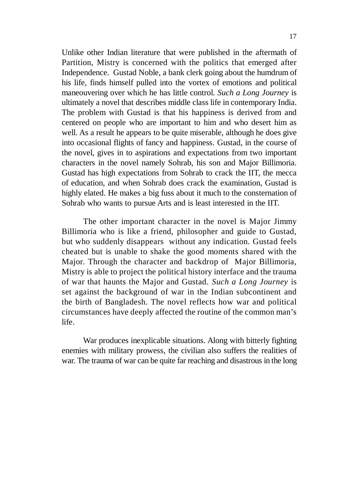Unlike other Indian literature that were published in the aftermath of Partition, Mistry is concerned with the politics that emerged after Independence. Gustad Noble, a bank clerk going about the humdrum of his life, finds himself pulled into the vortex of emotions and political maneouvering over which he has little control. *Such a Long Journey* is ultimately a novel that describes middle class life in contemporary India. The problem with Gustad is that his happiness is derived from and centered on people who are important to him and who desert him as well. As a result he appears to be quite miserable, although he does give into occasional flights of fancy and happiness. Gustad, in the course of the novel, gives in to aspirations and expectations from two important characters in the novel namely Sohrab, his son and Major Billimoria. Gustad has high expectations from Sohrab to crack the IIT, the mecca of education, and when Sohrab does crack the examination, Gustad is highly elated. He makes a big fuss about it much to the consternation of Sohrab who wants to pursue Arts and is least interested in the IIT.

The other important character in the novel is Major Jimmy Billimoria who is like a friend, philosopher and guide to Gustad, but who suddenly disappears without any indication. Gustad feels cheated but is unable to shake the good moments shared with the Major. Through the character and backdrop of Major Billimoria, Mistry is able to project the political history interface and the trauma of war that haunts the Major and Gustad. *Such a Long Journey* is set against the background of war in the Indian subcontinent and the birth of Bangladesh. The novel reflects how war and political circumstances have deeply affected the routine of the common man's life.

War produces inexplicable situations. Along with bitterly fighting enemies with military prowess, the civilian also suffers the realities of war. The trauma of war can be quite far reaching and disastrous in the long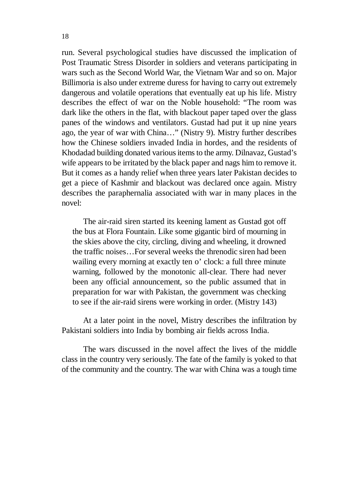run. Several psychological studies have discussed the implication of Post Traumatic Stress Disorder in soldiers and veterans participating in wars such as the Second World War, the Vietnam War and so on. Major Billimoria is also under extreme duress for having to carry out extremely dangerous and volatile operations that eventually eat up his life. Mistry describes the effect of war on the Noble household: "The room was dark like the others in the flat, with blackout paper taped over the glass panes of the windows and ventilators. Gustad had put it up nine years ago, the year of war with China…" (Nistry 9). Mistry further describes how the Chinese soldiers invaded India in hordes, and the residents of Khodadad building donated various items to the army. Dilnavaz, Gustad's wife appears to be irritated by the black paper and nags him to remove it. But it comes as a handy relief when three years later Pakistan decides to get a piece of Kashmir and blackout was declared once again. Mistry describes the paraphernalia associated with war in many places in the novel:

The air-raid siren started its keening lament as Gustad got off the bus at Flora Fountain. Like some gigantic bird of mourning in the skies above the city, circling, diving and wheeling, it drowned the traffic noises…For several weeks the threnodic siren had been wailing every morning at exactly ten o' clock: a full three minute warning, followed by the monotonic all-clear. There had never been any official announcement, so the public assumed that in preparation for war with Pakistan, the government was checking to see if the air-raid sirens were working in order. (Mistry 143)

At a later point in the novel, Mistry describes the infiltration by Pakistani soldiers into India by bombing air fields across India.

The wars discussed in the novel affect the lives of the middle class in the country very seriously. The fate of the family is yoked to that of the community and the country. The war with China was a tough time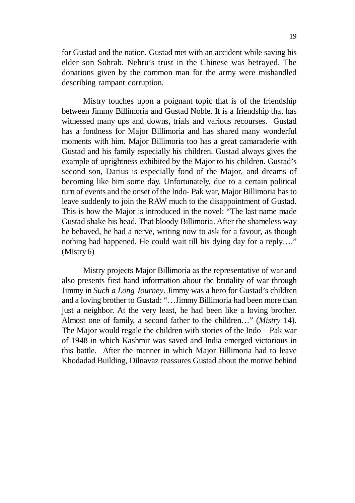for Gustad and the nation. Gustad met with an accident while saving his elder son Sohrab. Nehru's trust in the Chinese was betrayed. The donations given by the common man for the army were mishandled describing rampant corruption.

Mistry touches upon a poignant topic that is of the friendship between Jimmy Billimoria and Gustad Noble. It is a friendship that has witnessed many ups and downs, trials and various recourses. Gustad has a fondness for Major Billimoria and has shared many wonderful moments with him. Major Billimoria too has a great camaraderie with Gustad and his family especially his children. Gustad always gives the example of uprightness exhibited by the Major to his children. Gustad's second son, Darius is especially fond of the Major, and dreams of becoming like him some day. Unfortunately, due to a certain political turn of events and the onset of the Indo- Pak war, Major Billimoria has to leave suddenly to join the RAW much to the disappointment of Gustad. This is how the Major is introduced in the novel: "The last name made Gustad shake his head. That bloody Billimoria. After the shameless way he behaved, he had a nerve, writing now to ask for a favour, as though nothing had happened. He could wait till his dying day for a reply…." (Mistry 6)

Mistry projects Major Billimoria as the representative of war and also presents first hand information about the brutality of war through Jimmy in *Such a Long Journey*. Jimmy was a hero for Gustad's children and a loving brother to Gustad: "…Jimmy Billimoria had been more than just a neighbor. At the very least, he had been like a loving brother. Almost one of family, a second father to the children…" (*Mistry* 14). The Major would regale the children with stories of the Indo – Pak war of 1948 in which Kashmir was saved and India emerged victorious in this battle. After the manner in which Major Billimoria had to leave Khodadad Building, Dilnavaz reassures Gustad about the motive behind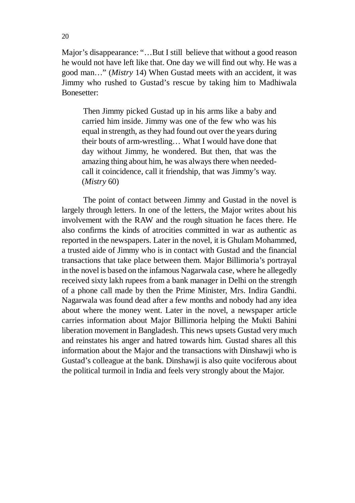Major's disappearance: "…But I still believe that without a good reason he would not have left like that. One day we will find out why. He was a good man…" (*Mistry* 14) When Gustad meets with an accident, it was Jimmy who rushed to Gustad's rescue by taking him to Madhiwala Bonesetter:

Then Jimmy picked Gustad up in his arms like a baby and carried him inside. Jimmy was one of the few who was his equal in strength, as they had found out over the years during their bouts of arm-wrestling… What I would have done that day without Jimmy, he wondered. But then, that was the amazing thing about him, he was always there when neededcall it coincidence, call it friendship, that was Jimmy's way. (*Mistry* 60)

The point of contact between Jimmy and Gustad in the novel is largely through letters. In one of the letters, the Major writes about his involvement with the RAW and the rough situation he faces there. He also confirms the kinds of atrocities committed in war as authentic as reported in the newspapers. Later in the novel, it is Ghulam Mohammed, a trusted aide of Jimmy who is in contact with Gustad and the financial transactions that take place between them. Major Billimoria's portrayal in the novel is based on the infamous Nagarwala case, where he allegedly received sixty lakh rupees from a bank manager in Delhi on the strength of a phone call made by then the Prime Minister, Mrs. Indira Gandhi. Nagarwala was found dead after a few months and nobody had any idea about where the money went. Later in the novel, a newspaper article carries information about Major Billimoria helping the Mukti Bahini liberation movement in Bangladesh. This news upsets Gustad very much and reinstates his anger and hatred towards him. Gustad shares all this information about the Major and the transactions with Dinshawji who is Gustad's colleague at the bank. Dinshawji is also quite vociferous about the political turmoil in India and feels very strongly about the Major.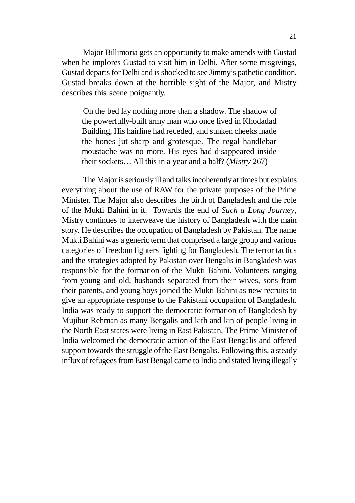Major Billimoria gets an opportunity to make amends with Gustad when he implores Gustad to visit him in Delhi. After some misgivings, Gustad departs for Delhi and is shocked to see Jimmy's pathetic condition. Gustad breaks down at the horrible sight of the Major, and Mistry describes this scene poignantly.

On the bed lay nothing more than a shadow. The shadow of the powerfully-built army man who once lived in Khodadad Building, His hairline had receded, and sunken cheeks made the bones jut sharp and grotesque. The regal handlebar moustache was no more. His eyes had disappeared inside their sockets… All this in a year and a half? (*Mistry* 267)

The Major is seriously ill and talks incoherently at times but explains everything about the use of RAW for the private purposes of the Prime Minister. The Major also describes the birth of Bangladesh and the role of the Mukti Bahini in it. Towards the end of *Such a Long Journey*, Mistry continues to interweave the history of Bangladesh with the main story. He describes the occupation of Bangladesh by Pakistan. The name Mukti Bahini was a generic term that comprised a large group and various categories of freedom fighters fighting for Bangladesh. The terror tactics and the strategies adopted by Pakistan over Bengalis in Bangladesh was responsible for the formation of the Mukti Bahini. Volunteers ranging from young and old, husbands separated from their wives, sons from their parents, and young boys joined the Mukti Bahini as new recruits to give an appropriate response to the Pakistani occupation of Bangladesh. India was ready to support the democratic formation of Bangladesh by Mujibur Rehman as many Bengalis and kith and kin of people living in the North East states were living in East Pakistan. The Prime Minister of India welcomed the democratic action of the East Bengalis and offered support towards the struggle of the East Bengalis. Following this, a steady influx of refugees from East Bengal came to India and stated living illegally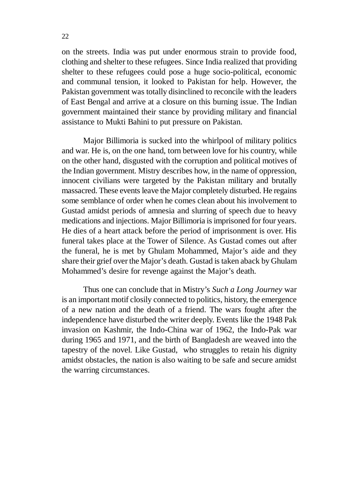on the streets. India was put under enormous strain to provide food, clothing and shelter to these refugees. Since India realized that providing shelter to these refugees could pose a huge socio-political, economic and communal tension, it looked to Pakistan for help. However, the Pakistan government was totally disinclined to reconcile with the leaders of East Bengal and arrive at a closure on this burning issue. The Indian government maintained their stance by providing military and financial assistance to Mukti Bahini to put pressure on Pakistan.

Major Billimoria is sucked into the whirlpool of military politics and war. He is, on the one hand, torn between love for his country, while on the other hand, disgusted with the corruption and political motives of the Indian government. Mistry describes how, in the name of oppression, innocent civilians were targeted by the Pakistan military and brutally massacred. These events leave the Major completely disturbed. He regains some semblance of order when he comes clean about his involvement to Gustad amidst periods of amnesia and slurring of speech due to heavy medications and injections. Major Billimoria is imprisoned for four years. He dies of a heart attack before the period of imprisonment is over. His funeral takes place at the Tower of Silence. As Gustad comes out after the funeral, he is met by Ghulam Mohammed, Major's aide and they share their grief over the Major's death. Gustad is taken aback by Ghulam Mohammed's desire for revenge against the Major's death.

Thus one can conclude that in Mistry's *Such a Long Journey* war is an important motif closily connected to politics, history, the emergence of a new nation and the death of a friend. The wars fought after the independence have disturbed the writer deeply. Events like the 1948 Pak invasion on Kashmir, the Indo-China war of 1962, the Indo-Pak war during 1965 and 1971, and the birth of Bangladesh are weaved into the tapestry of the novel. Like Gustad, who struggles to retain his dignity amidst obstacles, the nation is also waiting to be safe and secure amidst the warring circumstances.